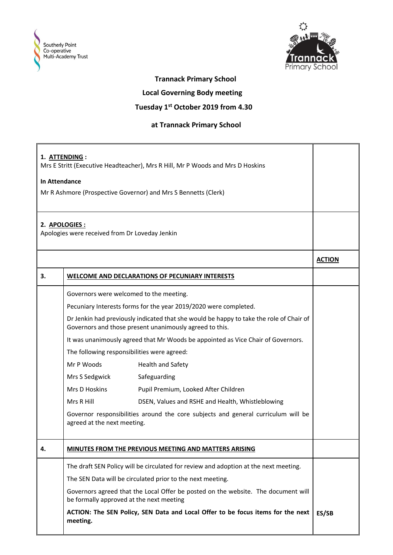



## **Trannack Primary School**

 **Local Governing Body meeting**

## **Tuesday 1st October 2019 from 4.30**

## **at Trannack Primary School**

| 1. ATTENDING:<br>Mrs E Stritt (Executive Headteacher), Mrs R Hill, Mr P Woods and Mrs D Hoskins<br><b>In Attendance</b><br>Mr R Ashmore (Prospective Governor) and Mrs S Bennetts (Clerk)<br>2. APOLOGIES :<br>Apologies were received from Dr Loveday Jenkin |                                                                                                                                                    |                                                                                      |               |
|---------------------------------------------------------------------------------------------------------------------------------------------------------------------------------------------------------------------------------------------------------------|----------------------------------------------------------------------------------------------------------------------------------------------------|--------------------------------------------------------------------------------------|---------------|
|                                                                                                                                                                                                                                                               |                                                                                                                                                    |                                                                                      | <b>ACTION</b> |
| 3.                                                                                                                                                                                                                                                            |                                                                                                                                                    | WELCOME AND DECLARATIONS OF PECUNIARY INTERESTS                                      |               |
|                                                                                                                                                                                                                                                               | Governors were welcomed to the meeting.                                                                                                            |                                                                                      |               |
|                                                                                                                                                                                                                                                               | Pecuniary Interests forms for the year 2019/2020 were completed.                                                                                   |                                                                                      |               |
|                                                                                                                                                                                                                                                               | Dr Jenkin had previously indicated that she would be happy to take the role of Chair of<br>Governors and those present unanimously agreed to this. |                                                                                      |               |
|                                                                                                                                                                                                                                                               | It was unanimously agreed that Mr Woods be appointed as Vice Chair of Governors.                                                                   |                                                                                      |               |
|                                                                                                                                                                                                                                                               | The following responsibilities were agreed:                                                                                                        |                                                                                      |               |
|                                                                                                                                                                                                                                                               | Mr P Woods                                                                                                                                         | <b>Health and Safety</b>                                                             |               |
|                                                                                                                                                                                                                                                               | Mrs S Sedgwick                                                                                                                                     | Safeguarding                                                                         |               |
|                                                                                                                                                                                                                                                               | Mrs D Hoskins                                                                                                                                      | Pupil Premium, Looked After Children                                                 |               |
|                                                                                                                                                                                                                                                               | Mrs R Hill                                                                                                                                         | DSEN, Values and RSHE and Health, Whistleblowing                                     |               |
|                                                                                                                                                                                                                                                               | Governor responsibilities around the core subjects and general curriculum will be<br>agreed at the next meeting.                                   |                                                                                      |               |
| 4.                                                                                                                                                                                                                                                            | MINUTES FROM THE PREVIOUS MEETING AND MATTERS ARISING                                                                                              |                                                                                      |               |
|                                                                                                                                                                                                                                                               |                                                                                                                                                    | The draft SEN Policy will be circulated for review and adoption at the next meeting. |               |
|                                                                                                                                                                                                                                                               | The SEN Data will be circulated prior to the next meeting.                                                                                         |                                                                                      |               |
|                                                                                                                                                                                                                                                               | Governors agreed that the Local Offer be posted on the website. The document will<br>be formally approved at the next meeting                      |                                                                                      |               |
|                                                                                                                                                                                                                                                               | meeting.                                                                                                                                           | ACTION: The SEN Policy, SEN Data and Local Offer to be focus items for the next      | ES/SB         |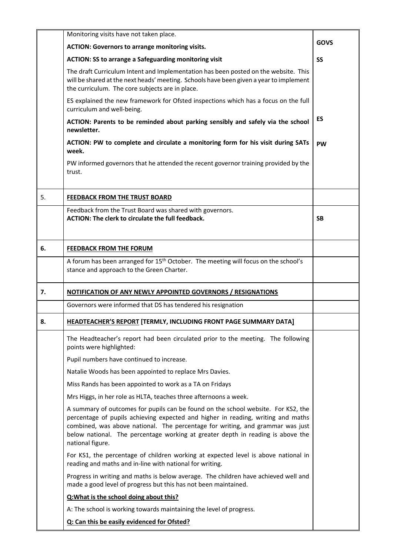|    | Monitoring visits have not taken place.                                                                                                                                                                                                                                                                                                                        | <b>GOVS</b> |
|----|----------------------------------------------------------------------------------------------------------------------------------------------------------------------------------------------------------------------------------------------------------------------------------------------------------------------------------------------------------------|-------------|
|    | <b>ACTION: Governors to arrange monitoring visits.</b>                                                                                                                                                                                                                                                                                                         |             |
|    | <b>ACTION: SS to arrange a Safeguarding monitoring visit</b>                                                                                                                                                                                                                                                                                                   |             |
|    | The draft Curriculum Intent and Implementation has been posted on the website. This<br>will be shared at the next heads' meeting. Schools have been given a year to implement<br>the curriculum. The core subjects are in place.                                                                                                                               |             |
|    | ES explained the new framework for Ofsted inspections which has a focus on the full<br>curriculum and well-being.                                                                                                                                                                                                                                              |             |
|    | ACTION: Parents to be reminded about parking sensibly and safely via the school<br>newsletter.                                                                                                                                                                                                                                                                 | ES          |
|    | ACTION: PW to complete and circulate a monitoring form for his visit during SATs<br>week.                                                                                                                                                                                                                                                                      | <b>PW</b>   |
|    | PW informed governors that he attended the recent governor training provided by the<br>trust.                                                                                                                                                                                                                                                                  |             |
| 5. | FEEDBACK FROM THE TRUST BOARD                                                                                                                                                                                                                                                                                                                                  |             |
|    | Feedback from the Trust Board was shared with governors.<br><b>ACTION: The clerk to circulate the full feedback.</b>                                                                                                                                                                                                                                           | <b>SB</b>   |
| 6. | <b>FEEDBACK FROM THE FORUM</b>                                                                                                                                                                                                                                                                                                                                 |             |
|    | A forum has been arranged for 15 <sup>th</sup> October. The meeting will focus on the school's<br>stance and approach to the Green Charter.                                                                                                                                                                                                                    |             |
| 7. | NOTIFICATION OF ANY NEWLY APPOINTED GOVERNORS / RESIGNATIONS                                                                                                                                                                                                                                                                                                   |             |
|    | Governors were informed that DS has tendered his resignation                                                                                                                                                                                                                                                                                                   |             |
| 8. | <b>HEADTEACHER'S REPORT [TERMLY, INCLUDING FRONT PAGE SUMMARY DATA]</b>                                                                                                                                                                                                                                                                                        |             |
|    | The Headteacher's report had been circulated prior to the meeting. The following<br>points were highlighted:                                                                                                                                                                                                                                                   |             |
|    | Pupil numbers have continued to increase.                                                                                                                                                                                                                                                                                                                      |             |
|    | Natalie Woods has been appointed to replace Mrs Davies.                                                                                                                                                                                                                                                                                                        |             |
|    | Miss Rands has been appointed to work as a TA on Fridays                                                                                                                                                                                                                                                                                                       |             |
|    | Mrs Higgs, in her role as HLTA, teaches three afternoons a week.                                                                                                                                                                                                                                                                                               |             |
|    | A summary of outcomes for pupils can be found on the school website. For KS2, the<br>percentage of pupils achieving expected and higher in reading, writing and maths<br>combined, was above national. The percentage for writing, and grammar was just<br>below national. The percentage working at greater depth in reading is above the<br>national figure. |             |
|    | For KS1, the percentage of children working at expected level is above national in<br>reading and maths and in-line with national for writing.                                                                                                                                                                                                                 |             |
|    | Progress in writing and maths is below average. The children have achieved well and<br>made a good level of progress but this has not been maintained.                                                                                                                                                                                                         |             |
|    | Q: What is the school doing about this?                                                                                                                                                                                                                                                                                                                        |             |
|    | A: The school is working towards maintaining the level of progress.                                                                                                                                                                                                                                                                                            |             |
|    | Q: Can this be easily evidenced for Ofsted?                                                                                                                                                                                                                                                                                                                    |             |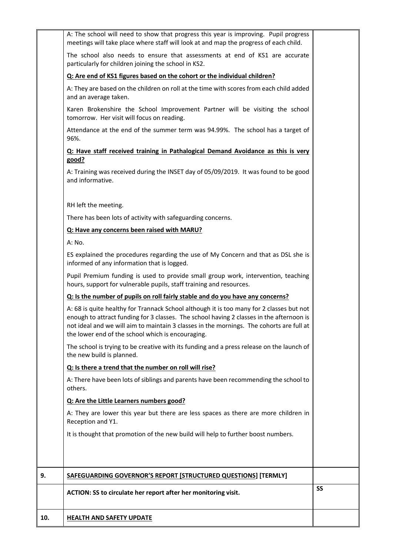|     | A: The school will need to show that progress this year is improving. Pupil progress<br>meetings will take place where staff will look at and map the progress of each child.                                                                                                                                                         |    |
|-----|---------------------------------------------------------------------------------------------------------------------------------------------------------------------------------------------------------------------------------------------------------------------------------------------------------------------------------------|----|
|     | The school also needs to ensure that assessments at end of KS1 are accurate<br>particularly for children joining the school in KS2.                                                                                                                                                                                                   |    |
|     | Q: Are end of KS1 figures based on the cohort or the individual children?                                                                                                                                                                                                                                                             |    |
|     | A: They are based on the children on roll at the time with scores from each child added<br>and an average taken.                                                                                                                                                                                                                      |    |
|     | Karen Brokenshire the School Improvement Partner will be visiting the school<br>tomorrow. Her visit will focus on reading.                                                                                                                                                                                                            |    |
|     | Attendance at the end of the summer term was 94.99%. The school has a target of<br>96%.                                                                                                                                                                                                                                               |    |
|     | Q: Have staff received training in Pathalogical Demand Avoidance as this is very<br>good?                                                                                                                                                                                                                                             |    |
|     | A: Training was received during the INSET day of 05/09/2019. It was found to be good<br>and informative.                                                                                                                                                                                                                              |    |
|     | RH left the meeting.                                                                                                                                                                                                                                                                                                                  |    |
|     | There has been lots of activity with safeguarding concerns.                                                                                                                                                                                                                                                                           |    |
|     | Q: Have any concerns been raised with MARU?                                                                                                                                                                                                                                                                                           |    |
|     | A: No.                                                                                                                                                                                                                                                                                                                                |    |
|     | ES explained the procedures regarding the use of My Concern and that as DSL she is<br>informed of any information that is logged.                                                                                                                                                                                                     |    |
|     | Pupil Premium funding is used to provide small group work, intervention, teaching<br>hours, support for vulnerable pupils, staff training and resources.                                                                                                                                                                              |    |
|     | Q: Is the number of pupils on roll fairly stable and do you have any concerns?                                                                                                                                                                                                                                                        |    |
|     | A: 68 is quite healthy for Trannack School although it is too many for 2 classes but not<br>enough to attract funding for 3 classes. The school having 2 classes in the afternoon is<br>not ideal and we will aim to maintain 3 classes in the mornings. The cohorts are full at<br>the lower end of the school which is encouraging. |    |
|     | The school is trying to be creative with its funding and a press release on the launch of<br>the new build is planned.                                                                                                                                                                                                                |    |
|     | Q: Is there a trend that the number on roll will rise?                                                                                                                                                                                                                                                                                |    |
|     | A: There have been lots of siblings and parents have been recommending the school to<br>others.                                                                                                                                                                                                                                       |    |
|     | Q: Are the Little Learners numbers good?                                                                                                                                                                                                                                                                                              |    |
|     | A: They are lower this year but there are less spaces as there are more children in<br>Reception and Y1.                                                                                                                                                                                                                              |    |
|     | It is thought that promotion of the new build will help to further boost numbers.                                                                                                                                                                                                                                                     |    |
| 9.  | SAFEGUARDING GOVERNOR'S REPORT [STRUCTURED QUESTIONS] [TERMLY]                                                                                                                                                                                                                                                                        |    |
|     | ACTION: SS to circulate her report after her monitoring visit.                                                                                                                                                                                                                                                                        | SS |
| 10. | <b>HEALTH AND SAFETY UPDATE</b>                                                                                                                                                                                                                                                                                                       |    |
|     |                                                                                                                                                                                                                                                                                                                                       |    |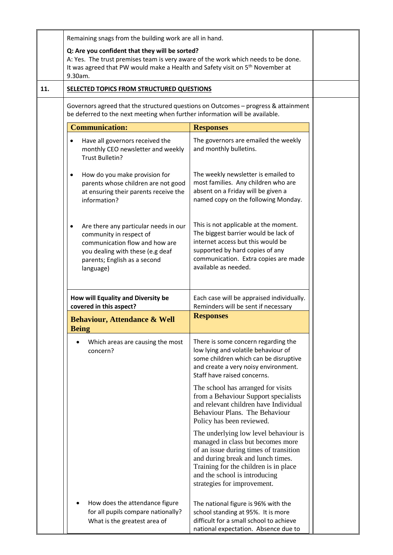|     | Remaining snags from the building work are all in hand.                                                                                                                                                                                     |                                                                                                                                                                                                                                                                    |  |
|-----|---------------------------------------------------------------------------------------------------------------------------------------------------------------------------------------------------------------------------------------------|--------------------------------------------------------------------------------------------------------------------------------------------------------------------------------------------------------------------------------------------------------------------|--|
|     | Q: Are you confident that they will be sorted?<br>A: Yes. The trust premises team is very aware of the work which needs to be done.<br>It was agreed that PW would make a Health and Safety visit on 5 <sup>th</sup> November at<br>9.30am. |                                                                                                                                                                                                                                                                    |  |
| 11. | SELECTED TOPICS FROM STRUCTURED QUESTIONS                                                                                                                                                                                                   |                                                                                                                                                                                                                                                                    |  |
|     | Governors agreed that the structured questions on Outcomes - progress & attainment<br>be deferred to the next meeting when further information will be available.                                                                           |                                                                                                                                                                                                                                                                    |  |
|     | <b>Communication:</b>                                                                                                                                                                                                                       | <b>Responses</b>                                                                                                                                                                                                                                                   |  |
|     | Have all governors received the<br>$\bullet$<br>monthly CEO newsletter and weekly<br><b>Trust Bulletin?</b>                                                                                                                                 | The governors are emailed the weekly<br>and monthly bulletins.                                                                                                                                                                                                     |  |
|     | How do you make provision for<br>$\bullet$<br>parents whose children are not good<br>at ensuring their parents receive the<br>information?                                                                                                  | The weekly newsletter is emailed to<br>most families. Any children who are<br>absent on a Friday will be given a<br>named copy on the following Monday.                                                                                                            |  |
|     | Are there any particular needs in our<br>$\bullet$<br>community in respect of<br>communication flow and how are<br>you dealing with these (e.g deaf<br>parents; English as a second<br>language)                                            | This is not applicable at the moment.<br>The biggest barrier would be lack of<br>internet access but this would be<br>supported by hard copies of any<br>communication. Extra copies are made<br>available as needed.                                              |  |
|     | How will Equality and Diversity be<br>covered in this aspect?                                                                                                                                                                               | Each case will be appraised individually.<br>Reminders will be sent if necessary                                                                                                                                                                                   |  |
|     | <b>Behaviour, Attendance &amp; Well</b><br><b>Being</b>                                                                                                                                                                                     | <b>Responses</b>                                                                                                                                                                                                                                                   |  |
|     | Which areas are causing the most<br>concern?                                                                                                                                                                                                | There is some concern regarding the<br>low lying and volatile behaviour of<br>some children which can be disruptive<br>and create a very noisy environment.<br>Staff have raised concerns.<br>The school has arranged for visits                                   |  |
|     |                                                                                                                                                                                                                                             | from a Behaviour Support specialists<br>and relevant children have Individual<br>Behaviour Plans. The Behaviour<br>Policy has been reviewed.                                                                                                                       |  |
|     |                                                                                                                                                                                                                                             | The underlying low level behaviour is<br>managed in class but becomes more<br>of an issue during times of transition<br>and during break and lunch times.<br>Training for the children is in place<br>and the school is introducing<br>strategies for improvement. |  |
|     | How does the attendance figure<br>for all pupils compare nationally?<br>What is the greatest area of                                                                                                                                        | The national figure is 96% with the<br>school standing at 95%. It is more<br>difficult for a small school to achieve<br>national expectation. Absence due to                                                                                                       |  |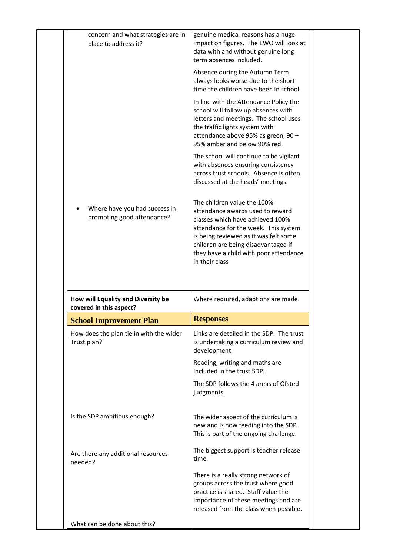|                                                               | term absences included.<br>Absence during the Autumn Term<br>always looks worse due to the short<br>time the children have been in school.<br>In line with the Attendance Policy the<br>school will follow up absences with<br>letters and meetings. The school uses<br>the traffic lights system with<br>attendance above 95% as green, 90 -<br>95% amber and below 90% red.<br>The school will continue to be vigilant<br>with absences ensuring consistency<br>across trust schools. Absence is often<br>discussed at the heads' meetings. |
|---------------------------------------------------------------|-----------------------------------------------------------------------------------------------------------------------------------------------------------------------------------------------------------------------------------------------------------------------------------------------------------------------------------------------------------------------------------------------------------------------------------------------------------------------------------------------------------------------------------------------|
| Where have you had success in<br>promoting good attendance?   | The children value the 100%<br>attendance awards used to reward<br>classes which have achieved 100%<br>attendance for the week. This system<br>is being reviewed as it was felt some<br>children are being disadvantaged if<br>they have a child with poor attendance<br>in their class                                                                                                                                                                                                                                                       |
| How will Equality and Diversity be<br>covered in this aspect? | Where required, adaptions are made.                                                                                                                                                                                                                                                                                                                                                                                                                                                                                                           |
| <b>School Improvement Plan</b>                                | <b>Responses</b>                                                                                                                                                                                                                                                                                                                                                                                                                                                                                                                              |
| How does the plan tie in with the wider<br>Trust plan?        | Links are detailed in the SDP. The trust<br>is undertaking a curriculum review and<br>development.                                                                                                                                                                                                                                                                                                                                                                                                                                            |
|                                                               | Reading, writing and maths are<br>included in the trust SDP.                                                                                                                                                                                                                                                                                                                                                                                                                                                                                  |
|                                                               | The SDP follows the 4 areas of Ofsted<br>judgments.                                                                                                                                                                                                                                                                                                                                                                                                                                                                                           |
| Is the SDP ambitious enough?                                  | The wider aspect of the curriculum is<br>new and is now feeding into the SDP.<br>This is part of the ongoing challenge.                                                                                                                                                                                                                                                                                                                                                                                                                       |
| Are there any additional resources<br>needed?                 | The biggest support is teacher release<br>time.                                                                                                                                                                                                                                                                                                                                                                                                                                                                                               |
|                                                               | There is a really strong network of<br>groups across the trust where good                                                                                                                                                                                                                                                                                                                                                                                                                                                                     |
|                                                               | practice is shared. Staff value the<br>importance of these meetings and are<br>released from the class when possible.                                                                                                                                                                                                                                                                                                                                                                                                                         |